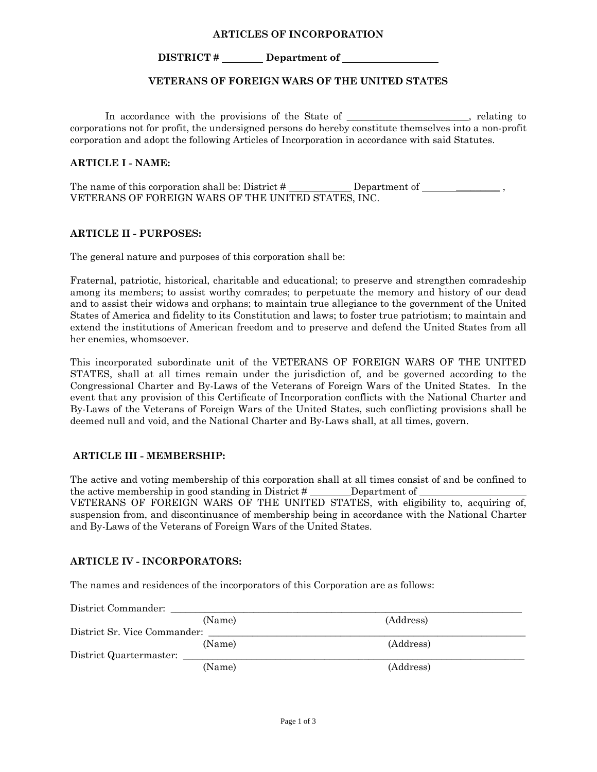### **ARTICLES OF INCORPORATION**

### **DISTRICT # Department of**

### **VETERANS OF FOREIGN WARS OF THE UNITED STATES**

In accordance with the provisions of the State of \_\_\_\_\_\_\_\_\_\_\_\_\_\_\_\_\_\_, relating to corporations not for profit, the undersigned persons do hereby constitute themselves into a non-profit corporation and adopt the following Articles of Incorporation in accordance with said Statutes.

### **ARTICLE I - NAME:**

The name of this corporation shall be: District  $\#$  Department of  $\qquad \qquad$ , VETERANS OF FOREIGN WARS OF THE UNITED STATES, INC.

### **ARTICLE II - PURPOSES:**

The general nature and purposes of this corporation shall be:

Fraternal, patriotic, historical, charitable and educational; to preserve and strengthen comradeship among its members; to assist worthy comrades; to perpetuate the memory and history of our dead and to assist their widows and orphans; to maintain true allegiance to the government of the United States of America and fidelity to its Constitution and laws; to foster true patriotism; to maintain and extend the institutions of American freedom and to preserve and defend the United States from all her enemies, whomsoever.

This incorporated subordinate unit of the VETERANS OF FOREIGN WARS OF THE UNITED STATES, shall at all times remain under the jurisdiction of, and be governed according to the Congressional Charter and By-Laws of the Veterans of Foreign Wars of the United States. In the event that any provision of this Certificate of Incorporation conflicts with the National Charter and By-Laws of the Veterans of Foreign Wars of the United States, such conflicting provisions shall be deemed null and void, and the National Charter and By-Laws shall, at all times, govern.

#### **ARTICLE III - MEMBERSHIP:**

The active and voting membership of this corporation shall at all times consist of and be confined to the active membership in good standing in District # Department of VETERANS OF FOREIGN WARS OF THE UNITED STATES, with eligibility to, acquiring of, suspension from, and discontinuance of membership being in accordance with the National Charter and By-Laws of the Veterans of Foreign Wars of the United States.

#### **ARTICLE IV - INCORPORATORS:**

The names and residences of the incorporators of this Corporation are as follows:

| District Commander:          |           |  |
|------------------------------|-----------|--|
| (Name)                       | (Address) |  |
| District Sr. Vice Commander: |           |  |
| (Name)                       | (Address) |  |
| District Quartermaster:      |           |  |
| (Name)                       | (Address) |  |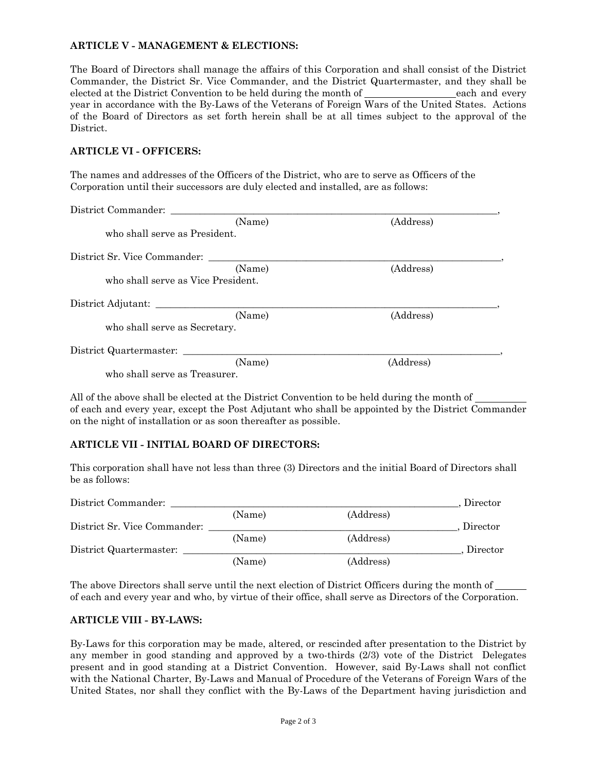## **ARTICLE V - MANAGEMENT & ELECTIONS:**

The Board of Directors shall manage the affairs of this Corporation and shall consist of the District Commander, the District Sr. Vice Commander, and the District Quartermaster, and they shall be elected at the District Convention to be held during the month of <u>each and every</u> each and every year in accordance with the By-Laws of the Veterans of Foreign Wars of the United States. Actions of the Board of Directors as set forth herein shall be at all times subject to the approval of the District.

## **ARTICLE VI - OFFICERS:**

The names and addresses of the Officers of the District, who are to serve as Officers of the Corporation until their successors are duly elected and installed, are as follows:

| District Commander:                |           |
|------------------------------------|-----------|
| (Name)                             | (Address) |
| who shall serve as President.      |           |
| District Sr. Vice Commander:       |           |
| (Name)                             | (Address) |
| who shall serve as Vice President. |           |
| District Adjutant:                 |           |
| (Name)                             | (Address) |
| who shall serve as Secretary.      |           |
| District Quartermaster:            |           |
| (Name)                             | (Address) |
| who shall serve as Treasurer.      |           |

All of the above shall be elected at the District Convention to be held during the month of of each and every year, except the Post Adjutant who shall be appointed by the District Commander on the night of installation or as soon thereafter as possible.

# **ARTICLE VII - INITIAL BOARD OF DIRECTORS:**

This corporation shall have not less than three (3) Directors and the initial Board of Directors shall be as follows:

| District Commander:          |        |           | Director |
|------------------------------|--------|-----------|----------|
|                              | (Name) | (Address) |          |
| District Sr. Vice Commander: |        |           | Director |
|                              | (Name) | (Address) |          |
| District Quartermaster:      |        |           | Director |
|                              | (Name) | (Address) |          |

The above Directors shall serve until the next election of District Officers during the month of of each and every year and who, by virtue of their office, shall serve as Directors of the Corporation.

## **ARTICLE VIII - BY-LAWS:**

By-Laws for this corporation may be made, altered, or rescinded after presentation to the District by any member in good standing and approved by a two-thirds (2/3) vote of the District Delegates present and in good standing at a District Convention. However, said By-Laws shall not conflict with the National Charter, By-Laws and Manual of Procedure of the Veterans of Foreign Wars of the United States, nor shall they conflict with the By-Laws of the Department having jurisdiction and